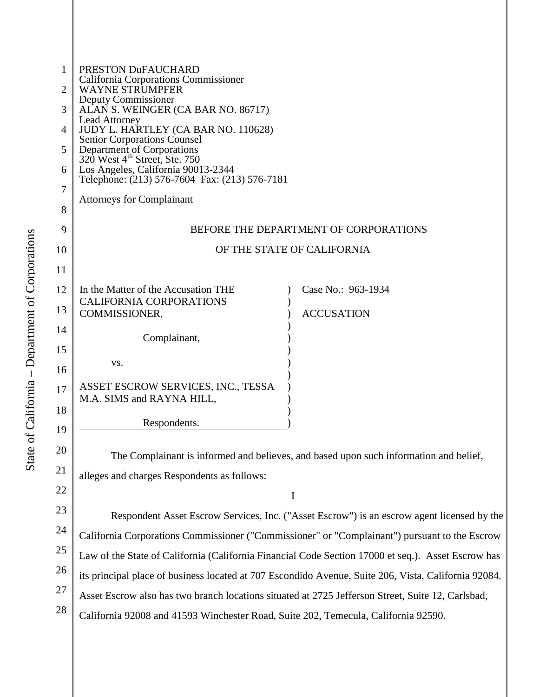| 1  | PRESTON DuFAUCHARD<br>California Corporations Commissioner                                             |                            |  |
|----|--------------------------------------------------------------------------------------------------------|----------------------------|--|
| 2  | <b>WAYNE STRUMPFER</b><br>Deputy Commissioner                                                          |                            |  |
| 3  | ALAN S. WEINGER (CA BAR NO. 86717)                                                                     |                            |  |
| 4  | Lead Attorney<br>JUDY L. HARTLEY (CA BAR NO. 110628)                                                   |                            |  |
| 5  | Senior Corporations Counsel<br>Department of Corporations<br>320 West 4 <sup>th</sup> Street, Ste. 750 |                            |  |
| 6  | Los Angeles, California 90013-2344                                                                     |                            |  |
| 7  | Telephone: (213) 576-7604 Fax: (213) 576-7181                                                          |                            |  |
| 8  | <b>Attorneys for Complainant</b>                                                                       |                            |  |
|    |                                                                                                        |                            |  |
| 9  | BEFORE THE DEPARTMENT OF CORPORATIONS                                                                  |                            |  |
| 10 |                                                                                                        | OF THE STATE OF CALIFORNIA |  |
| 11 |                                                                                                        |                            |  |
| 12 | In the Matter of the Accusation THE<br><b>CALIFORNIA CORPORATIONS</b>                                  | Case No.: 963-1934         |  |
| 13 | COMMISSIONER,                                                                                          | <b>ACCUSATION</b>          |  |
| 14 | Complainant,                                                                                           |                            |  |
| 15 |                                                                                                        |                            |  |
| 16 | VS.                                                                                                    |                            |  |
| 17 | ASSET ESCROW SERVICES, INC., TESSA                                                                     |                            |  |
| 18 | M.A. SIMS and RAYNA HILL,                                                                              |                            |  |
| 19 | Respondents.                                                                                           |                            |  |
|    |                                                                                                        |                            |  |
| 20 | The Complainant is informed and believes, and based upon such information and belief,                  |                            |  |
| 21 | alleges and charges Respondents as follows:                                                            |                            |  |
| 22 |                                                                                                        | I                          |  |
| 23 | Respondent Asset Escrow Services, Inc. ("Asset Escrow") is an escrow agent licensed by                 |                            |  |

24 25 26 27 28 gent licensed by the California Corporations Commissioner ("Commissioner" or "Complainant") pursuant to the Escrow Law of the State of California (California Financial Code Section 17000 et seq.). Asset Escrow has its principal place of business located at 707 Escondido Avenue, Suite 206, Vista, California 92084. Asset Escrow also has two branch locations situated at 2725 Jefferson Street, Suite 12, Carlsbad, California 92008 and 41593 Winchester Road, Suite 202, Temecula, California 92590.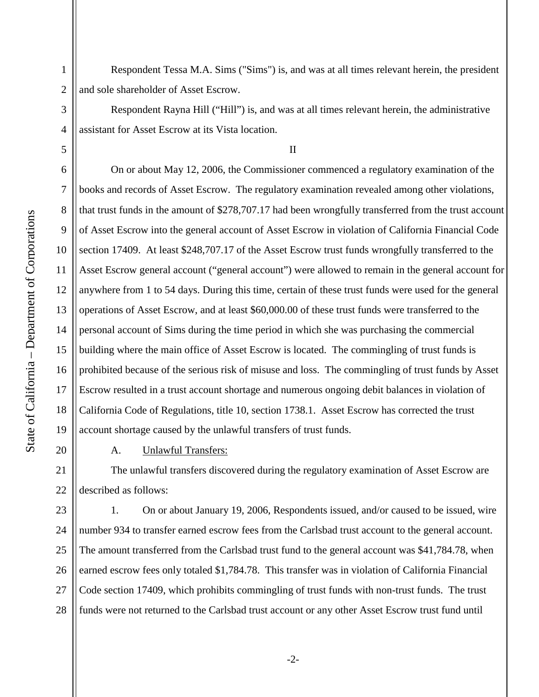20

1

2

3

4

5

Respondent Tessa M.A. Sims ("Sims") is, and was at all times relevant herein, the president and sole shareholder of Asset Escrow.

Respondent Rayna Hill ("Hill") is, and was at all times relevant herein, the administrative assistant for Asset Escrow at its Vista location.

II

6 7 8 9 10 11 12 13 14 15 16 17 18 19 On or about May 12, 2006, the Commissioner commenced a regulatory examination of the books and records of Asset Escrow. The regulatory examination revealed among other violations, that trust funds in the amount of \$278,707.17 had been wrongfully transferred from the trust account of Asset Escrow into the general account of Asset Escrow in violation of California Financial Code section 17409. At least \$248,707.17 of the Asset Escrow trust funds wrongfully transferred to the Asset Escrow general account ("general account") were allowed to remain in the general account for anywhere from 1 to 54 days. During this time, certain of these trust funds were used for the general operations of Asset Escrow, and at least \$60,000.00 of these trust funds were transferred to the personal account of Sims during the time period in which she was purchasing the commercial building where the main office of Asset Escrow is located. The commingling of trust funds is prohibited because of the serious risk of misuse and loss. The commingling of trust funds by Asset Escrow resulted in a trust account shortage and numerous ongoing debit balances in violation of California Code of Regulations, title 10, section 1738.1. Asset Escrow has corrected the trust account shortage caused by the unlawful transfers of trust funds.

A. Unlawful Transfers:

21 22 The unlawful transfers discovered during the regulatory examination of Asset Escrow are described as follows:

23 24 25 26 27 28 1. On or about January 19, 2006, Respondents issued, and/or caused to be issued, wire number 934 to transfer earned escrow fees from the Carlsbad trust account to the general account. The amount transferred from the Carlsbad trust fund to the general account was \$41,784.78, when earned escrow fees only totaled \$1,784.78. This transfer was in violation of California Financial Code section 17409, which prohibits commingling of trust funds with non-trust funds. The trust funds were not returned to the Carlsbad trust account or any other Asset Escrow trust fund until

-2-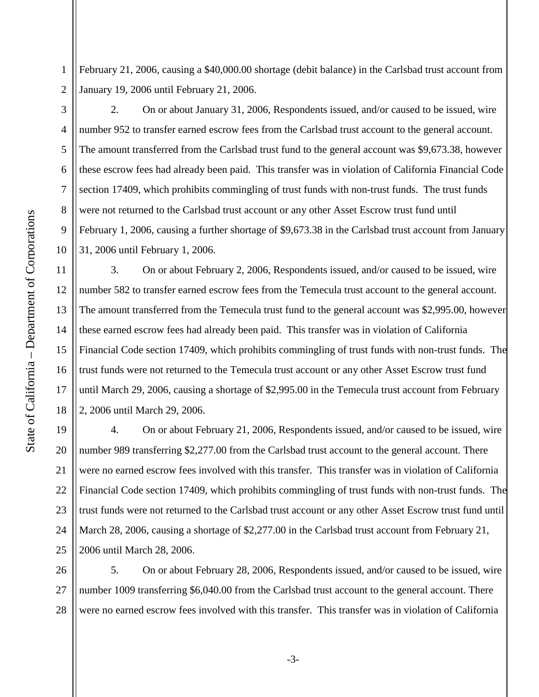1 2 February 21, 2006, causing a \$40,000.00 shortage (debit balance) in the Carlsbad trust account from January 19, 2006 until February 21, 2006.

3

4

5

6

7

8

9

10

11

12

13

14

15

16

17

18

2. On or about January 31, 2006, Respondents issued, and/or caused to be issued, wire number 952 to transfer earned escrow fees from the Carlsbad trust account to the general account. The amount transferred from the Carlsbad trust fund to the general account was \$9,673.38, however these escrow fees had already been paid. This transfer was in violation of California Financial Code section 17409, which prohibits commingling of trust funds with non-trust funds. The trust funds were not returned to the Carlsbad trust account or any other Asset Escrow trust fund until February 1, 2006, causing a further shortage of \$9,673.38 in the Carlsbad trust account from January 31, 2006 until February 1, 2006.

3. On or about February 2, 2006, Respondents issued, and/or caused to be issued, wire number 582 to transfer earned escrow fees from the Temecula trust account to the general account. The amount transferred from the Temecula trust fund to the general account was \$2,995.00, however these earned escrow fees had already been paid. This transfer was in violation of California Financial Code section 17409, which prohibits commingling of trust funds with non-trust funds. The trust funds were not returned to the Temecula trust account or any other Asset Escrow trust fund until March 29, 2006, causing a shortage of \$2,995.00 in the Temecula trust account from February 2, 2006 until March 29, 2006.

19 20 21 22 23 24 25 4. On or about February 21, 2006, Respondents issued, and/or caused to be issued, wire number 989 transferring \$2,277.00 from the Carlsbad trust account to the general account. There were no earned escrow fees involved with this transfer. This transfer was in violation of California Financial Code section 17409, which prohibits commingling of trust funds with non-trust funds. The trust funds were not returned to the Carlsbad trust account or any other Asset Escrow trust fund until March 28, 2006, causing a shortage of \$2,277.00 in the Carlsbad trust account from February 21, 2006 until March 28, 2006.

26 27 28 5. On or about February 28, 2006, Respondents issued, and/or caused to be issued, wire number 1009 transferring \$6,040.00 from the Carlsbad trust account to the general account. There were no earned escrow fees involved with this transfer. This transfer was in violation of California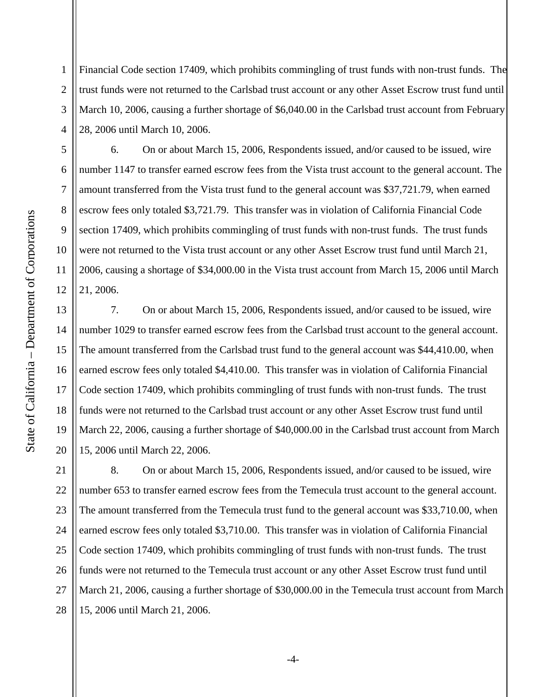1 2 3 4 Financial Code section 17409, which prohibits commingling of trust funds with non-trust funds. The trust funds were not returned to the Carlsbad trust account or any other Asset Escrow trust fund until March 10, 2006, causing a further shortage of \$6,040.00 in the Carlsbad trust account from February 28, 2006 until March 10, 2006.

6. On or about March 15, 2006, Respondents issued, and/or caused to be issued, wire number 1147 to transfer earned escrow fees from the Vista trust account to the general account. The amount transferred from the Vista trust fund to the general account was \$37,721.79, when earned escrow fees only totaled \$3,721.79. This transfer was in violation of California Financial Code section 17409, which prohibits commingling of trust funds with non-trust funds. The trust funds were not returned to the Vista trust account or any other Asset Escrow trust fund until March 21, 2006, causing a shortage of \$34,000.00 in the Vista trust account from March 15, 2006 until March 21, 2006.

16 20 7. On or about March 15, 2006, Respondents issued, and/or caused to be issued, wire number 1029 to transfer earned escrow fees from the Carlsbad trust account to the general account. The amount transferred from the Carlsbad trust fund to the general account was \$44,410.00, when earned escrow fees only totaled \$4,410.00. This transfer was in violation of California Financial Code section 17409, which prohibits commingling of trust funds with non-trust funds. The trust funds were not returned to the Carlsbad trust account or any other Asset Escrow trust fund until March 22, 2006, causing a further shortage of \$40,000.00 in the Carlsbad trust account from March 15, 2006 until March 22, 2006.

21 22 23 24 25 26 27 28 8. On or about March 15, 2006, Respondents issued, and/or caused to be issued, wire number 653 to transfer earned escrow fees from the Temecula trust account to the general account. The amount transferred from the Temecula trust fund to the general account was \$33,710.00, when earned escrow fees only totaled \$3,710.00. This transfer was in violation of California Financial Code section 17409, which prohibits commingling of trust funds with non-trust funds. The trust funds were not returned to the Temecula trust account or any other Asset Escrow trust fund until March 21, 2006, causing a further shortage of \$30,000.00 in the Temecula trust account from March 15, 2006 until March 21, 2006.

5

6

7

8

9

10

11

12

13

14

15

17

18

19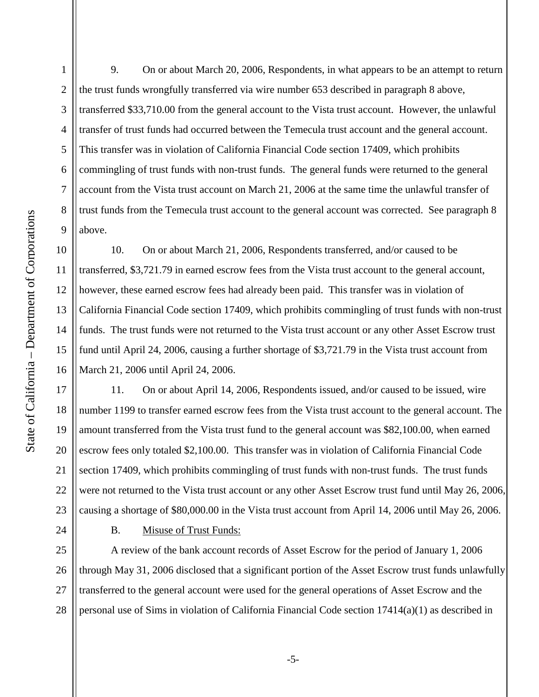1

2

3

4

5

6

7

8

9

10

11

12

13

14

15

16

17

18

19

20

21

22

23

24

9. On or about March 20, 2006, Respondents, in what appears to be an attempt to return the trust funds wrongfully transferred via wire number 653 described in paragraph 8 above, transferred \$33,710.00 from the general account to the Vista trust account. However, the unlawful transfer of trust funds had occurred between the Temecula trust account and the general account. This transfer was in violation of California Financial Code section 17409, which prohibits commingling of trust funds with non-trust funds. The general funds were returned to the general account from the Vista trust account on March 21, 2006 at the same time the unlawful transfer of trust funds from the Temecula trust account to the general account was corrected. See paragraph 8 above.

10. On or about March 21, 2006, Respondents transferred, and/or caused to be transferred, \$3,721.79 in earned escrow fees from the Vista trust account to the general account, however, these earned escrow fees had already been paid. This transfer was in violation of California Financial Code section 17409, which prohibits commingling of trust funds with non-trust funds. The trust funds were not returned to the Vista trust account or any other Asset Escrow trust fund until April 24, 2006, causing a further shortage of \$3,721.79 in the Vista trust account from March 21, 2006 until April 24, 2006.

11. On or about April 14, 2006, Respondents issued, and/or caused to be issued, wire number 1199 to transfer earned escrow fees from the Vista trust account to the general account. The amount transferred from the Vista trust fund to the general account was \$82,100.00, when earned escrow fees only totaled \$2,100.00. This transfer was in violation of California Financial Code section 17409, which prohibits commingling of trust funds with non-trust funds. The trust funds were not returned to the Vista trust account or any other Asset Escrow trust fund until May 26, 2006, causing a shortage of \$80,000.00 in the Vista trust account from April 14, 2006 until May 26, 2006.

B. Misuse of Trust Funds:

25 26 27 28 A review of the bank account records of Asset Escrow for the period of January 1, 2006 through May 31, 2006 disclosed that a significant portion of the Asset Escrow trust funds unlawfully transferred to the general account were used for the general operations of Asset Escrow and the personal use of Sims in violation of California Financial Code section 17414(a)(1) as described in

-5-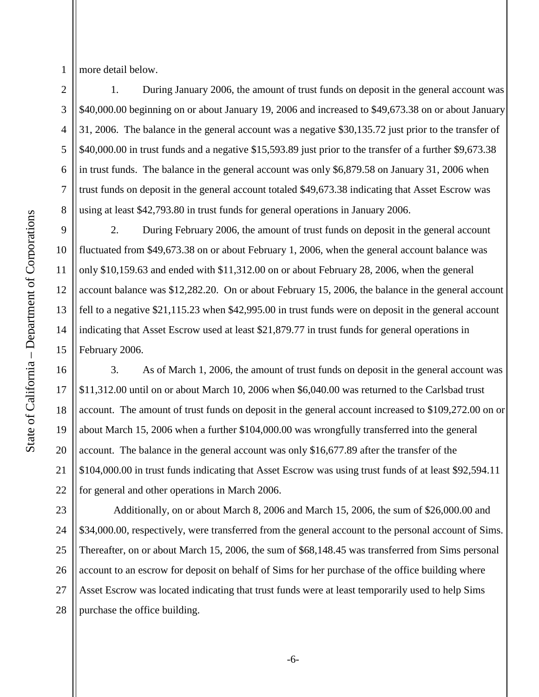more detail below.

1

2

3

4

5

6

7

8

9

10

11

12

13

14

15

16

17

18

19

20

21

22

1. During January 2006, the amount of trust funds on deposit in the general account was \$40,000.00 beginning on or about January 19, 2006 and increased to \$49,673.38 on or about January 31, 2006. The balance in the general account was a negative \$30,135.72 just prior to the transfer of \$40,000.00 in trust funds and a negative \$15,593.89 just prior to the transfer of a further \$9,673.38 in trust funds. The balance in the general account was only \$6,879.58 on January 31, 2006 when trust funds on deposit in the general account totaled \$49,673.38 indicating that Asset Escrow was using at least \$42,793.80 in trust funds for general operations in January 2006.

2. During February 2006, the amount of trust funds on deposit in the general account fluctuated from \$49,673.38 on or about February 1, 2006, when the general account balance was only \$10,159.63 and ended with \$11,312.00 on or about February 28, 2006, when the general account balance was \$12,282.20. On or about February 15, 2006, the balance in the general account fell to a negative \$21,115.23 when \$42,995.00 in trust funds were on deposit in the general account indicating that Asset Escrow used at least \$21,879.77 in trust funds for general operations in February 2006.

3. As of March 1, 2006, the amount of trust funds on deposit in the general account was \$11,312.00 until on or about March 10, 2006 when \$6,040.00 was returned to the Carlsbad trust account. The amount of trust funds on deposit in the general account increased to \$109,272.00 on or about March 15, 2006 when a further \$104,000.00 was wrongfully transferred into the general account. The balance in the general account was only \$16,677.89 after the transfer of the \$104,000.00 in trust funds indicating that Asset Escrow was using trust funds of at least \$92,594.11 for general and other operations in March 2006.

purchase the office building. 23 24 25 26 27 28 Additionally, on or about March 8, 2006 and March 15, 2006, the sum of \$26,000.00 and \$34,000.00, respectively, were transferred from the general account to the personal account of Sims. Thereafter, on or about March 15, 2006, the sum of \$68,148.45 was transferred from Sims personal account to an escrow for deposit on behalf of Sims for her purchase of the office building where Asset Escrow was located indicating that trust funds were at least temporarily used to help Sims purchase the office building.<br>
-6-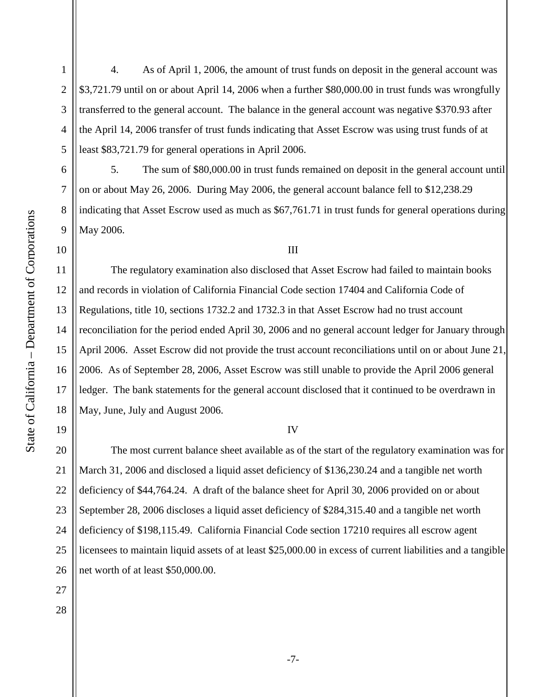1

2

3

4

4. As of April 1, 2006, the amount of trust funds on deposit in the general account was \$3,721.79 until on or about April 14, 2006 when a further \$80,000.00 in trust funds was wrongfully transferred to the general account. The balance in the general account was negative \$370.93 after the April 14, 2006 transfer of trust funds indicating that Asset Escrow was using trust funds of at least \$83,721.79 for general operations in April 2006.

5. The sum of \$80,000.00 in trust funds remained on deposit in the general account until on or about May 26, 2006. During May 2006, the general account balance fell to \$12,238.29 indicating that Asset Escrow used as much as \$67,761.71 in trust funds for general operations during May 2006.

III

15 16 17 18 The regulatory examination also disclosed that Asset Escrow had failed to maintain books and records in violation of California Financial Code section 17404 and California Code of Regulations, title 10, sections 1732.2 and 1732.3 in that Asset Escrow had no trust account reconciliation for the period ended April 30, 2006 and no general account ledger for January through April 2006. Asset Escrow did not provide the trust account reconciliations until on or about June 21, 2006. As of September 28, 2006, Asset Escrow was still unable to provide the April 2006 general ledger. The bank statements for the general account disclosed that it continued to be overdrawn in May, June, July and August 2006.

## IV

20 21 22 23 24 25 26 The most current balance sheet available as of the start of the regulatory examination was for March 31, 2006 and disclosed a liquid asset deficiency of \$136,230.24 and a tangible net worth deficiency of \$44,764.24. A draft of the balance sheet for April 30, 2006 provided on or about September 28, 2006 discloses a liquid asset deficiency of \$284,315.40 and a tangible net worth deficiency of \$198,115.49. California Financial Code section 17210 requires all escrow agent licensees to maintain liquid assets of at least \$25,000.00 in excess of current liabilities and a tangible net worth of at least \$50,000.00.

19

27

28